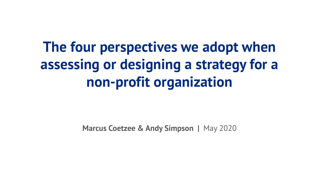# **The four perspectives we adopt when assessing or designing a strategy for a non-profit organization**

**Marcus Coetzee & Andy Simpson | May 2020**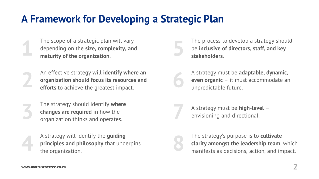### **A Framework for Developing a Strategic Plan**

- The scope of a strategic plan will vary depending on the **size, complexity, and 1 maturity of the organization**.
- An effective strategy will **identify where an organization should focus its resources and <b>efforts** to achieve the greatest impact.
- The strategy should identify **where changes are required** in how the **organization thinks and operates.**
- A strategy will identify the **guiding principles and philosophy** that underpins the organization.
- The process to develop a strategy should be **inclusive of directors, staff, and key 5 stakeholders**.
- A strategy must be **adaptable, dynamic, even organic** – it must accommodate an unpredictable future.
- A strategy must be **high-level** –<br>envisioning and directional.



The strategy's purpose is to **cultivate clarity amongst the leadership team**, which manifests as decisions, action, and impact.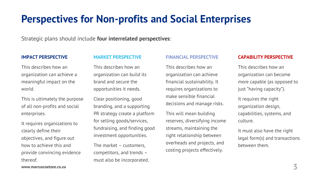## **Perspectives for Non-profits and Social Enterprises**

Strategic plans should include **four interrelated perspectives**:

#### **IMPACT PERSPECTIVE**

#### **MARKET PERSPECTIVE**

This describes how an organization can achieve a meaningful impact on the world.

This is ultimately the purpose of all non-profits and social enterprises.

It requires organizations to clearly define their objectives, and figure out how to achieve this and provide convincing evidence thereof.

This describes how an organization can build its brand and secure the opportunities it needs.

Clear positioning, good branding, and a supporting PR strategy create a platform for selling goods/services, fundraising, and finding good investment opportunities.

The market – customers, competitors, and trends – must also be incorporated.

#### **FINANCIAL PERSPECTIVE**

This describes how an organization can achieve financial sustainability. It requires organizations to make sensible financial decisions and manage risks.

This will mean building reserves, diversifying income streams, maintaining the right relationship between overheads and projects, and costing projects effectively.

#### **CAPABILITY PERSPECTIVE**

This describes how an organization can become more capable (as opposed to just "having capacity").

It requires the right organization design, capabilities, systems, and culture.

It must also have the right legal form(s) and transactions between them.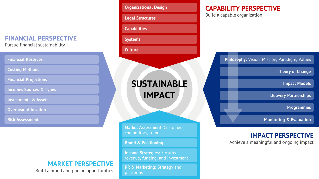#### **FINANCIAL PERSPECTIVE**

Pursue financial sustainability

| <b>Financial Reserves</b>          |  |
|------------------------------------|--|
| <b>Costing Methods</b>             |  |
| <b>Financial Projections</b>       |  |
| <b>Incomes Sources &amp; Types</b> |  |
| <b>Investments &amp; Assets</b>    |  |
| <b>Overhead Allocation</b>         |  |

**Risk Assessment**

#### **MARKET PERSPECTIVE**

Build a brand and pursue opportunities

| <b>Organizational Design</b>                         |
|------------------------------------------------------|
| <b>Legal Structures</b>                              |
| <b>Capabilities</b>                                  |
| <b>Systems</b>                                       |
| <b>Culture</b>                                       |
|                                                      |
| <b>SUSTAINABLE</b><br><b>IMPACT</b>                  |
| Market Assessment: Customers,<br>competitors, trends |
| <b>Brand &amp; Positioning</b>                       |

**PR & Marketing: Strategy and** platforms

### **CAPABILITY PERSPECTIVE**

Build a capable organization

**Philosophy:** Vision, Mission, Paradigm, Values

**Theory of Change**

**Impact Models**

**Delivery Partnerships**

**Programmes**

**Monitoring & Evaluation**

#### **IMPACT PERSPECTIVE**

Achieve a meaningful and ongoing impact